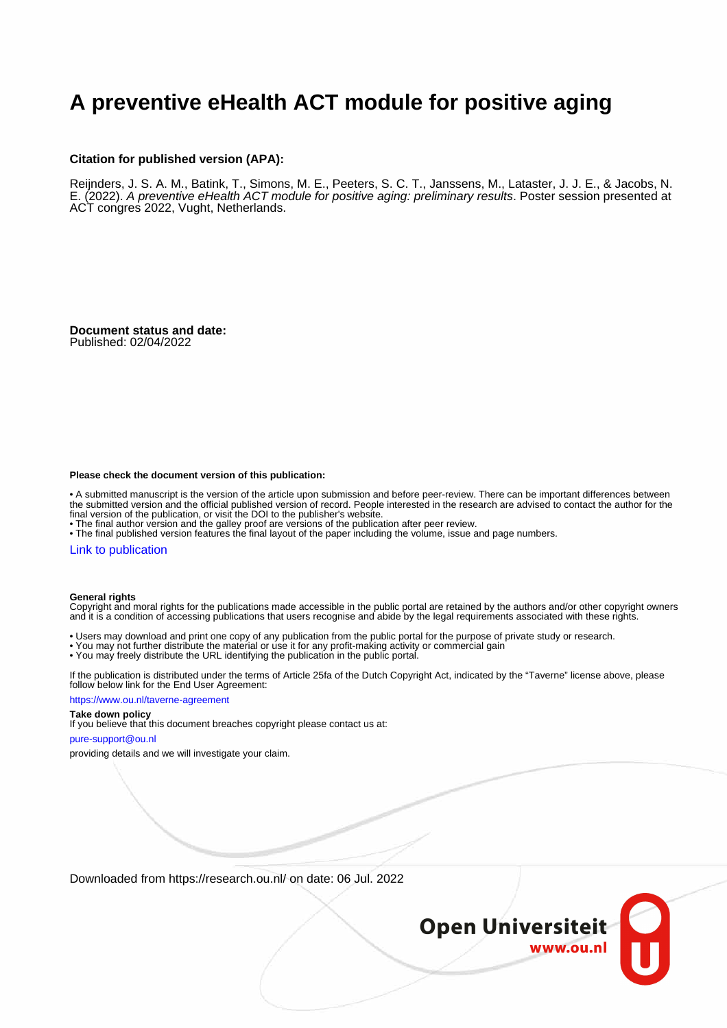### **A preventive eHealth ACT module for positive aging**

### **Citation for published version (APA):**

Reijnders, J. S. A. M., Batink, T., Simons, M. E., Peeters, S. C. T., Janssens, M., Lataster, J. J. E., & Jacobs, N. E. (2022). A preventive eHealth ACT module for positive aging: preliminary results. Poster session presented at ACT congres 2022, Vught, Netherlands.

**Document status and date:** Published: 02/04/2022

### **Please check the document version of this publication:**

• A submitted manuscript is the version of the article upon submission and before peer-review. There can be important differences between the submitted version and the official published version of record. People interested in the research are advised to contact the author for the final version of the publication, or visit the DOI to the publisher's website.

• The final author version and the galley proof are versions of the publication after peer review.

• The final published version features the final layout of the paper including the volume, issue and page numbers.

### [Link to publication](https://research.ou.nl/en/publications/9715b63b-7311-454d-b683-4c919b8dbf4b)

### **General rights**

Copyright and moral rights for the publications made accessible in the public portal are retained by the authors and/or other copyright owners and it is a condition of accessing publications that users recognise and abide by the legal requirements associated with these rights.

- Users may download and print one copy of any publication from the public portal for the purpose of private study or research.
- You may not further distribute the material or use it for any profit-making activity or commercial gain
- You may freely distribute the URL identifying the publication in the public portal.

If the publication is distributed under the terms of Article 25fa of the Dutch Copyright Act, indicated by the "Taverne" license above, please follow below link for the End User Agreement:

### https://www.ou.nl/taverne-agreement

### **Take down policy**

If you believe that this document breaches copyright please contact us at:

### pure-support@ou.nl

providing details and we will investigate your claim.

Downloaded from https://research.ou.nl/ on date: 06 Jul. 2022